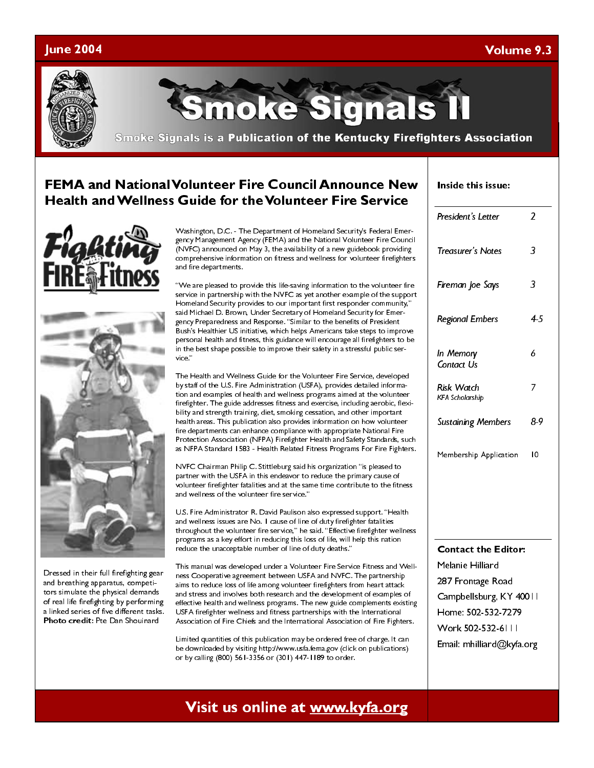# June 2004



moke Signals

**Smoke Signals is a Publication of the Kentucky Firefighters Association** 

# **FEMA and National Volunteer Fire Council Announce New**





Dressed in their full firefighting gear and breathing apparatus, competitors simulate the physical demands of real life firefighting by performing a linked series of five different tasks. Photo credit: Pte Dan Shouinard

Washington, D.C. - The Department of Homeland Security's Federal Emergency Management Agency (FEMA) and the National Volunteer Fire Council (NVFC) announced on May 3, the availability of a new guidebook providing comprehensive information on fitness and wellness for volunteer firefighters and fire departments.

"We are pleased to provide this life-saving information to the volunteer fire service in partnership with the NVFC as yet another example of the support Homeland Security provides to our important first responder community," said Michael D. Brown, Under Secretary of Homeland Security for Emergency Preparedness and Response. "Similar to the benefits of President Bush's Healthier US initiative, which helps Americans take steps to improve personal health and fitness, this guidance will encourage all firefighters to be in the best shape possible to improve their safety in a stressful public service."

The Health and Wellness Guide for the Volunteer Fire Service, developed by staff of the U.S. Fire Administration (USFA), provides detailed information and examples of health and wellness programs aimed at the volunteer firefighter. The guide addresses fitness and exercise, including aerobic, flexibility and strength training, diet, smoking cessation, and other important health areas. This publication also provides information on how volunteer fire departments can enhance compliance with appropriate National Fire Protection Association (NFPA) Firefighter Health and Safety Standards, such as NFPA Standard 1583 - Health Related Fitness Programs For Fire Fighters.

NVFC Chairman Philip C. Stittleburg said his organization "is pleased to partner with the USFA in this endeavor to reduce the primary cause of volunteer firefighter fatalities and at the same time contribute to the fitness and wellness of the volunteer fire service."

U.S. Fire Administrator R. David Paulison also expressed support. "Health and wellness issues are No. 1 cause of line of duty firefighter fatalities throughout the volunteer fire service," he said. "Effective firefighter wellness programs as a key effort in reducing this loss of life, will help this nation reduce the unacceptable number of line of duty deaths."

This manual was developed under a Volunteer Fire Service Fitness and Wellness Cooperative agreement between USFA and NVFC. The partnership aims to reduce loss of life among volunteer firefighters from heart attack and stress and involves both research and the development of examples of effective health and wellness programs. The new guide complements existing USFA firefighter wellness and fitness partnerships with the International Association of Fire Chiefs and the International Association of Fire Fighters.

Limited quantities of this publication may be ordered free of charge. It can be downloaded by visiting http://www.usfa.fema.gov (click on publications) or by calling (800) 561-3356 or (301) 447-1189 to order.

# Inside this issue:

| President's Letter            | 2              |  |
|-------------------------------|----------------|--|
| <b>Treasurer's Notes</b>      | 3              |  |
| Fireman Joe Says              | 3              |  |
| <b>Regional Embers</b>        | 4.5            |  |
| In Memory<br>Contact Us       | 6              |  |
| Risk Watch<br>KFA Scholarship | 7              |  |
| <b>Sustaining Members</b>     | 89             |  |
| Membership Application        | $\overline{0}$ |  |
|                               |                |  |
| <b>Contact the Editor:</b>    |                |  |
| Melanie Hilliard              |                |  |
| 287 Frontage Road             |                |  |
| Campbellsburg, KY 40011       |                |  |
| Home: 502-532-7279            |                |  |
| Work 502-532-6111             |                |  |
| Email: mhilliard@kyfa.org     |                |  |

# visit us online at www.kyfa.org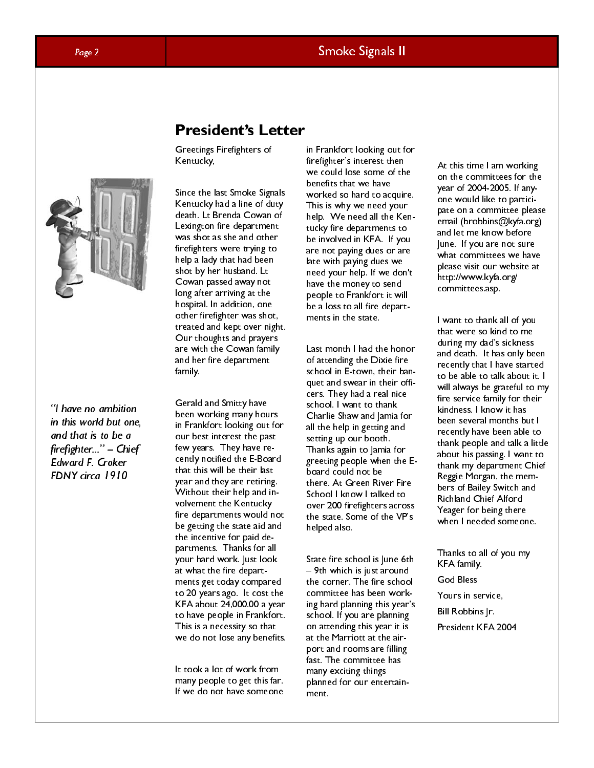"I have no ambition in this world but one, and that is to be a firefighter..." - Chief Edward F. Croker FDNY circa 1910

**President's Letter** - President Corps - Letter 2004<br>Greetings Firefighters of Theory

Kentucky,

Since the last Smoke Signals Kentucky had a line of duty death. Lt Brenda Cowan of Lexington fire department was shot as she and other firefighters were trying to help a lady that had been shot by her husband. Lt Cowan passed away not long after arriving at the hospital. In addition, one other firefighter was shot, treated and kept over night. Our thoughts and prayers are with the Cowan family and her fire department family.

Gerald and Smitty have been working many hours in Frankfort looking out for our best interest the past few years. They have recently notified the E-Board that this will be their last year and they are retiring. Without their help and involvement the Kentucky fire departments would not be getting the state aid and the incentive for paid departments. Thanks for all your hard work. Just look at what the fire departments get today compared to 20 years ago. It cost the KFA about 24,000.00 a year to have people in Frankfort. This is a necessity so that we do not lose any benefits.

It took a lot of work from many people to get this far. If we do not have someone

in Frankfort looking out for firefighter's interest then we could lose some of the benefits that we have worked so hard to acquire. This is why we need your help. We need all the Kentucky fire departments to be involved in KFA. If you are not paying dues or are late with paying dues we need your help. If we don't have the money to send people to Frankfort it will be a loss to all fire departments in the state.

Last month I had the honor of attending the Dixie fire school in E-town, their banquet and swear in their officers. They had a real nice school. I want to thank Charlie Shaw and Jamia for all the help in getting and setting up our booth. Thanks again to Jamia for greeting people when the Eboard could not be there. At Green River Fire School I know I talked to over 200 firefighters across the state. Some of the VP's helped also.

State fire school is June 6th – 9th which is just around the corner. The fire school committee has been working hard planning this year's school. If you are planning on attending this year it is at the Marriott at the airport and rooms are filling fast. The committee has many exciting things planned for our entertainment.

At this time I am working on the committees for the year of 2004-2005. If anyone would like to participate on a committee please email (brobbins@kyfa.org) and let me know before June. If you are not sure what committees we have please visit our website at http://www.kyfa.org/ committees.asp.

I want to thank all of you that were so kind to me during my dad's sickness and death. It has only been recently that I have started to be able to talk about it. I will always be grateful to my fire service family for their kindness. I know it has been several months but I recently have been able to thank people and talk a little about his passing. I want to thank my department Chief Reggie Morgan, the members of Bailey Switch and Richland Chief Alford Yeager for being there when I needed someone.

Thanks to all of you my KFA family. God Bless

Yours in service,

Bill Robbins Jr.

President KFA 2004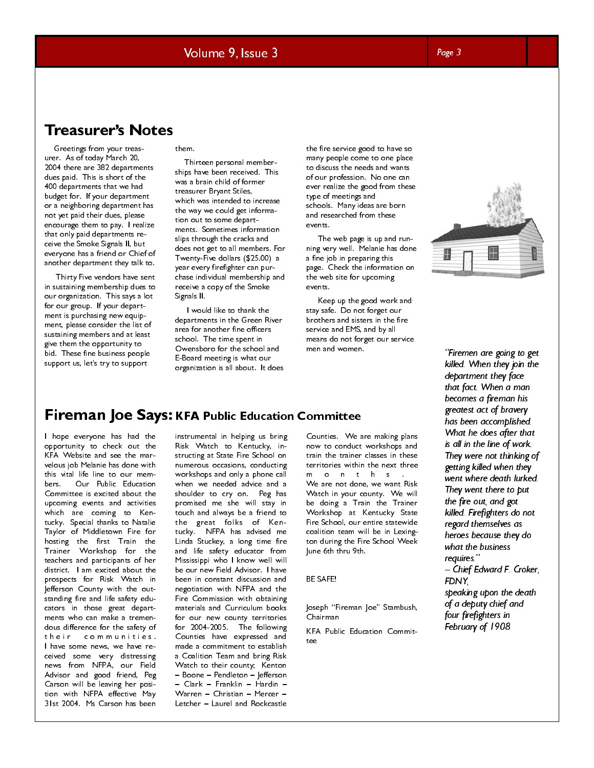Volume 9, Issue 3

# Page 3

IT CASURER'S INDUCS<br>Greetings from your treasurer. As of today March 20, 2004 there are 382 departments dues paid. This is short of the 400 departments that we had budget for. If your department or a neighboring department has not yet paid their dues, please encourage them to pay. I realize that only paid departments receive the Smoke Signals II, but everyone has a friend or Chief of another department they talk to.

 Thirty Five vendors have sent in sustaining membership dues to our organization. This says a lot for our group. If your department is purchasing new equipment, please consider the list of sustaining members and at least give them the opportunity to bid. These fine business people support us, let's try to support

# them.

 Thirteen personal memberships have been received. This was a brain child of former treasurer Bryant Stiles, which was intended to increase the way we could get information out to some departments. Sometimes information slips through the cracks and does not get to all members. For Twenty-Five dollars (\$25.00) a year every firefighter can purchase individual membership and receive a copy of the Smoke Signals II.

 I would like to thank the departments in the Green River area for another fine officers school. The time spent in Owensboro for the school and E-Board meeting is what our organization is all about. It does

the fire service good to have so many people come to one place to discuss the needs and wants of our profession. No one can ever realize the good from these type of meetings and schools. Many ideas are born and researched from these events.

 The web page is up and running very well. Melanie has done a fine job in preparing this page. Check the information on the web site for upcoming events.

 Keep up the good work and stay safe. Do not forget our brothers and sisters in the fire service and EMS, and by all means do not forget our service men and women.



"Firemen are going to get killed. When they join the department they face that fact. When a man becomes a fireman his greatest act of bravery has been accomplished. What he does after that is all in the line of work. They were not thinking of getting killed when they went where death lurked. They went there to put the fire out, and got killed. Firefighters do not regard themselves as heroes because they do what the business requires." - Chief Edward F. Croker, FDNY, speaking upon the death of a deputy chief and four firefighters in

February of 1908

Fireman JOE Says: KFA Public Education Committee<br>
In phone were went as the marrimental in helping us bring to counted the Reix Watch to Kentucky, in-<br>
KFA Website and see the mar-<br>
servecting at State Firschoi or train th I hope everyone has had the opportunity to check out the KFA Website and see the marvelous job Melanie has done with this vital life line to our members. Our Public Education Committee is excited about the upcoming events and activities which are coming to Kentucky. Special thanks to Natalie Taylor of Middletown Fire for hosting the first Train the Trainer Workshop for the teachers and participants of her district. I am excited about the prospects for Risk Watch in Jefferson County with the outstanding fire and life safety educators in those great departments who can make a tremendous difference for the safety of their communities. I have some news, we have received some very distressing news from NFPA, our Field Advisor and good friend, Peg Carson will be leaving her position with NFPA effective May 31st 2004. Ms Carson has been

instrumental in helping us bring Risk Watch to Kentucky, instructing at State Fire School on numerous occasions, conducting workshops and only a phone call when we needed advice and a shoulder to cry on. Peg has promised me she will stay in touch and always be a friend to the great folks of Kentucky. NFPA has advised me Linda Stuckey, a long time fire and life safety educator from Mississippi who I know well will be our new Field Advisor. I have been in constant discussion and negotiation with NFPA and the Fire Commission with obtaining materials and Curriculum books for our new county territories for 2004-2005. The following Counties have expressed and made a commitment to establish a Coalition Team and bring Risk Watch to their county; Kenton – Boone – Pendleton – Jefferson – Clark – Franklin – Hardin – Warren – Christian – Mercer – Letcher – Laurel and Rockcastle

Counties. We are making plans now to conduct workshops and train the trainer classes in these territories within the next three months. We are not done, we want Risk Watch in your county. We will be doing a Train the Trainer Workshop at Kentucky State Fire School, our entire statewide coalition team will be in Lexington during the Fire School Week June 6th thru 9th.

# BE SAFE!

Joseph "Fireman Joe" Stambush, Chairman

KFA Public Education Committee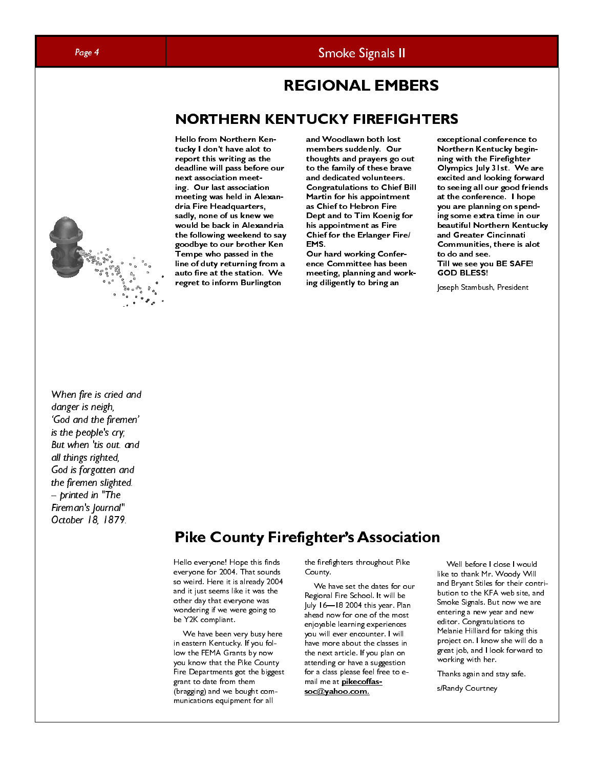# **REGIONAL EMBERS**



Hello from Northern Kentucky I don't have alot to report this writing as the deadline will pass before our next association meeting. Our last association meeting was held in Alexandria Fire Headquarters, sadly, none of us knew we would be back in Alexandria the following weekend to say goodbye to our brother Ken Tempe who passed in the line of duty returning from a auto fire at the station. We regret to inform Burlington

and Woodlawn both lost members suddenly. Our thoughts and prayers go out to the family of these brave and dedicated volunteers. Congratulations to Chief Bill Martin for his appointment as Chief to Hebron Fire Dept and to Tim Koenig for his appointment as Fire Chief for the Erlanger Fire/ EMS.

Our hard working Conference Committee has been meeting, planning and working diligently to bring an

exceptional conference to Northern Kentucky beginning with the Firefighter Olympics July 31st. We are excited and looking forward to seeing all our good friends at the conference. I hope you are planning on spending some extra time in our beautiful Northern Kentucky and Greater Cincinnati Communities, there is alot to do and see. Till we see you BE SAFE! GOD BLESS!

Joseph Stambush, President

When fire is cried and danger is neigh, 'God and the firemen' is the people's cry; But when 'tis out. and all things righted, God is forgotten and the firemen slighted. -- printed in "The Fireman's Journal" October 18, 1879.

# Pike County Firefighter's Association

Hello everyone! Hope this finds everyone for 2004. That sounds so weird. Here it is already 2004 and it just seems like it was the other day that everyone was wondering if we were going to be Y2K compliant.

 We have been very busy here in eastern Kentucky. If you follow the FEMA Grants by now you know that the Pike County Fire Departments got the biggest grant to date from them (bragging) and we bought communications equipment for all

the firefighters throughout Pike County.

**NTUCKY FIREFIGHTE**<br>
and Woodlawn both lost<br>
members suddently. Our<br>
thoughts and prayers go out<br>
to the family of these braves in the<br>
and dedicated volunteers.<br>
Congraulations to Chief Bill<br>
Martin (cr his appointment a We have set the dates for our Regional Fire School. It will be July 16—18 2004 this year. Plan ahead now for one of the most enjoyable learning experiences you will ever encounter. I will have more about the classes in the next article. If you plan on attending or have a suggestion for a class please feel free to email me at **pikecoffas** soc@yahoo.com.

 Well before I close I would like to thank Mr. Woody Will and Bryant Stiles for their contribution to the KFA web site, and Smoke Signals. But now we are entering a new year and new editor. Congratulations to Melanie Hilliard for taking this project on. I know she will do a great job, and I look forward to working with her.

Thanks again and stay safe.

s/Randy Courtney

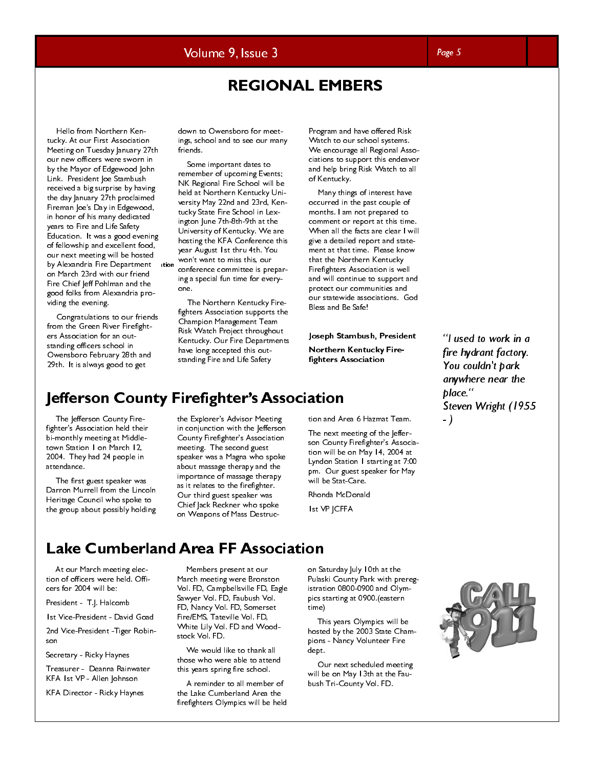# Volume 9, Issue 3

# REGIONAL EMBERS

by Alexandria Fire Department ution Hello from Northern Kentucky. At our First Association Meeting on Tuesday January 27th our new officers were sworn in by the Mayor of Edgewood John Link. President Joe Stambush received a big surprise by having the day January 27th proclaimed Fireman Joe's Day in Edgewood, in honor of his many dedicated years to Fire and Life Safety Education. It was a good evening of fellowship and excellent food, our next meeting will be hosted on March 23rd with our friend Fire Chief Jeff Pohlman and the good folks from Alexandria providing the evening.

 Congratulations to our friends from the Green River Firefighters Association for an outstanding officers school in Owensboro February 28th and 29th. It is always good to get

down to Owensboro for meetings, school and to see our many friends.

 Some important dates to remember of upcoming Events; NK Regional Fire School will be held at Northern Kentucky University May 22nd and 23rd, Kentucky State Fire School in Lexington June 7th-8th-9th at the University of Kentucky. We are hosting the KFA Conference this year August 1st thru 4th. You won't want to miss this, our conference committee is preparing a special fun time for everyone.

 The Northern Kentucky Firefighters Association supports the Champion Management Team Risk Watch Project throughout Kentucky. Our Fire Departments have long accepted this outstanding Fire and Life Safety

Program and have offered Risk Watch to our school systems. We encourage all Regional Associations to support this endeavor and help bring Risk Watch to all of Kentucky.

 Many things of interest have occurred in the past couple of months. I am not prepared to comment or report at this time. When all the facts are clear I will give a detailed report and statement at that time. Please know that the Northern Kentucky Firefighters Association is well and will continue to support and protect our communities and our statewide associations. God Bless and Be Safe!

Joseph Stambush, President

Northern Kentucky Firefighters Association

# Jefferson County Firefighter's Association

 The Jefferson County Firefighter's Association held their bi-monthly meeting at Middletown Station 1 on March 12, 2004. They had 24 people in attendance.

 The first guest speaker was Darron Murrell from the Lincoln Heritage Council who spoke to the group about possibly holding

the Explorer's Advisor Meeting in conjunction with the Jefferson County Firefighter's Association meeting. The second guest speaker was a Magna who spoke about massage therapy and the importance of massage therapy as it relates to the firefighter. Our third guest speaker was Chief Jack Reckner who spoke on Weapons of Mass Destruction and Area 6 Hazmat Team.

The next meeting of the Jefferson County Firefighter's Association will be on May 14, 2004 at Lyndon Station 1 starting at 7:00 pm. Our guest speaker for May will be Stat-Care.

Rhonda McDonald 1st VP JCFFA

"I used to work in a fire hydrant factory. You couldn't park anywhere near the place." Steven Wright (1955 - )

# Lake Cumberland Area FF Association

 At our March meeting election of officers were held. Officers for 2004 will be:

President - T.J. Halcomb

1st Vice-President - David Goad

2nd Vice-President -Tiger Robinson

Secretary - Ricky Haynes

Treasurer - Deanna Rainwater KFA 1st VP - Allen Johnson

KFA Director - Ricky Haynes

 Members present at our March meeting were Bronston Vol. FD, Campbellsville FD, Eagle Sawyer Vol. FD, Faubush Vol. FD, Nancy Vol. FD, Somerset Fire/EMS, Tateville Vol. FD, White Lily Vol. FD and Woodstock Vol. FD.

 We would like to thank all those who were able to attend this years spring fire school.

 A reminder to all member of the Lake Cumberland Area the firefighters Olympics will be held on Saturday July 10th at the Pulaski County Park with preregistration 0800-0900 and Olympics starting at 0900.(eastern time)

 This years Olympics will be hosted by the 2003 State Champions - Nancy Volunteer Fire dept.

 Our next scheduled meeting will be on May 13th at the Faubush Tri-County Vol. FD.



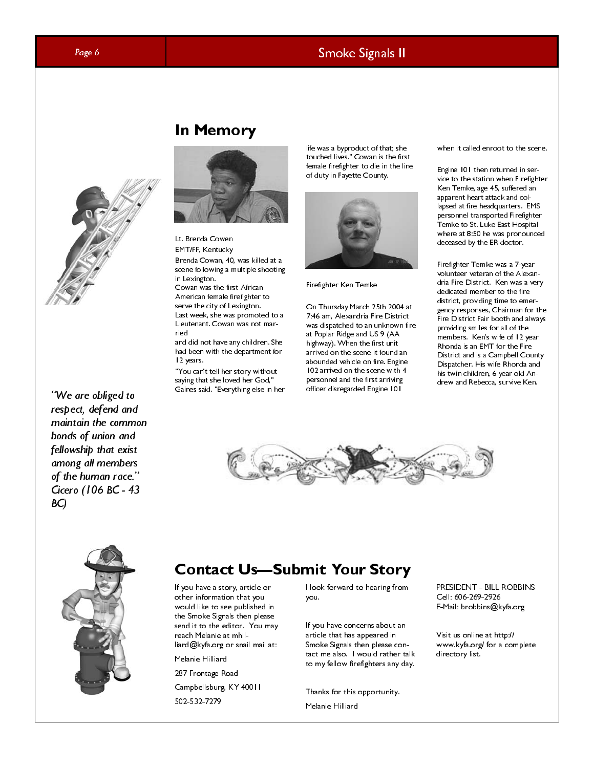# Page 6 Smoke Signals II



"We are obliged to respect, defend and maintain the common bonds of union and fellowship that exist among all members of the human race." Cicero (106 BC - 43 BC)

# In Memory



Lt. Brenda Cowen EMT/FF, Kentucky Brenda Cowan, 40, was killed at a scene following a multiple shooting in Lexington. Cowan was the first African American female firefighter to serve the city of Lexington. Last week, she was promoted to a Lieutenant. Cowan was not married

and did not have any children. She had been with the department for 12 years.

"You can't tell her story without saying that she loved her God," Gaines said. "Everything else in her

life was a byproduct of that; she touched lives." Cowan is the first female firefighter to die in the line of duty in Fayette County.



Firefighter Ken Temke

On Thursday March 25th 2004 at 7:46 am, Alexandria Fire District was dispatched to an unknown fire at Poplar Ridge and US 9 (AA highway). When the first unit arrived on the scene it found an abounded vehicle on fire. Engine 102 arrived on the scene with 4 personnel and the first arriving officer disregarded Engine 101

when it called enroot to the scene.

Engine 101 then returned in service to the station when Firefighter Ken Temke, age 45, suffered an apparent heart attack and collapsed at fire headquarters. EMS personnel transported Firefighter Temke to St. Luke East Hospital where at 8:50 he was pronounced deceased by the ER doctor.

Firefighter Temke was a 7-year volunteer veteran of the Alexandria Fire District. Ken was a very dedicated member to the fire district, providing time to emergency responses, Chairman for the Fire District Fair booth and always providing smiles for all of the members. Ken's wife of 12 year Rhonda is an EMT for the Fire District and is a Campbell County Dispatcher. His wife Rhonda and his twin children, 6 year old Andrew and Rebecca, survive Ken.





# Contact Us—Submit Your Story

If you have a story, article or other information that you would like to see published in the Smoke Signals then please send it to the editor. You may reach Melanie at mhilliard@kyfa.org or snail mail at:

Melanie Hilliard

287 Frontage Road

Campbellsburg, KY 40011

502-532-7279

I look forward to hearing from you.

If you have concerns about an article that has appeared in Smoke Signals then please contact me also. I would rather talk to my fellow firefighters any day.

Thanks for this opportunity.

Melanie Hilliard

PRESIDENT - BILL ROBBINS Cell: 606-269-2926 E-Mail: brobbins@kyfa.org

Visit us online at http:// www.kyfa.org/ for a complete directory list.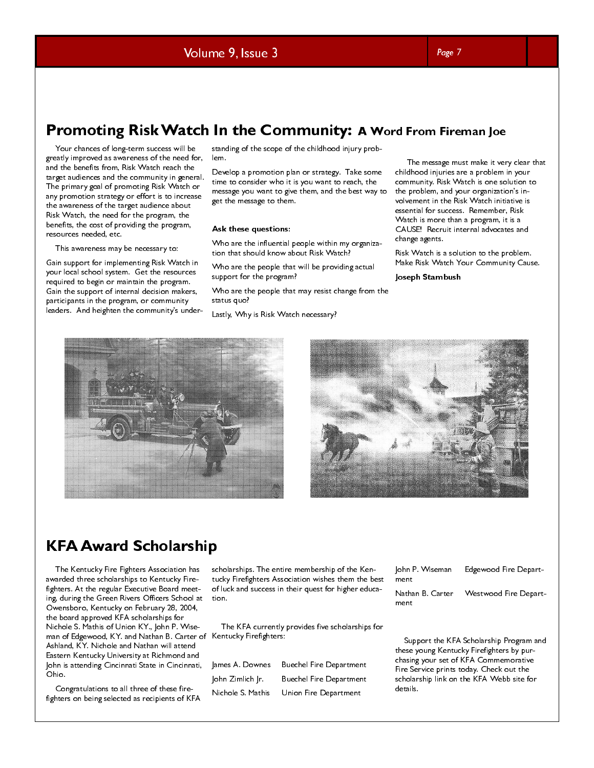Your chances of long-term success will be greatly improved as awareness of the need for, and the benefits from, Risk Watch reach the target audiences and the community in general. The primary goal of promoting Risk Watch or any promotion strategy or effort is to increase the awareness of the target audience about Risk Watch, the need for the program, the benefits, the cost of providing the program, resources needed, etc.

This awareness may be necessary to:

Gain support for implementing Risk Watch in your local school system. Get the resources required to begin or maintain the program. Gain the support of internal decision makers, participants in the program, or community leaders. And heighten the community's understanding of the scope of the childhood injury problem.

Develop a promotion plan or strategy. Take some time to consider who it is you want to reach, the message you want to give them, and the best way to get the message to them.

## Ask these questions:

Who are the influential people within my organization that should know about Risk Watch?

Who are the people that will be providing actual support for the program?

Who are the people that may resist change from the status quo?

Lastly, Why is Risk Watch necessary?

 The message must make it very clear that childhood injuries are a problem in your community. Risk Watch is one solution to the problem, and your organization's involvement in the Risk Watch initiative is essential for success. Remember, Risk Watch is more than a program, it is a CAUSE! Recruit internal advocates and change agents. **Page 7**<br>
The message musical<br>
Childhood injuries are<br>
community. Risk Way<br>
the problem, and you<br>
volvement in the Ris<br>
Stambush Stambush<br>
CAUSE! Recruit int<br>
CAUSE! Recruit int<br>
Risk Watch is a solu<br>
Make Risk Watch You<br>

Risk Watch is a solution to the problem. Make Risk Watch Your Community Cause.





**KFA Award Scholarship**<br>The Kentucky Fire Fighters Association has<br>awarded three scholarships to Kentucky Fire-<br>fighters. At the regular Executive Board meet-<br>of mig, during the Green Rivers Officers School at tic<br>Owensbor The Kentucky Fire Fighters Association has awarded three scholarships to Kentucky Firefighters. At the regular Executive Board meeting, during the Green Rivers Officers School at Owensboro, Kentucky on February 28, 2004, the board approved KFA scholarships for Nichole S. Mathis of Union KY., John P. Wiseman of Edgewood, KY. and Nathan B. Carter of Kentucky Firefighters: Ashland, KY. Nichole and Nathan will attend Eastern Kentucky University at Richmond and John is attending Cincinnati State in Cincinnati, Ohio.

 Congratulations to all three of these firefighters on being selected as recipients of KFA

scholarships. The entire membership of the Kentucky Firefighters Association wishes them the best of luck and success in their quest for higher education.

The KFA currently provides five scholarships for

James A. Downes Buechel Fire Department John Zimlich Jr. Buechel Fire Department Nichole S. Mathis Union Fire Department

|      | John P. Wiseman |
|------|-----------------|
| ment |                 |

ment

Edgewood Fire Depart-

Nathan B. Carter Westwood Fire Depart-

 Support the KFA Scholarship Program and these young Kentucky Firefighters by purchasing your set of KFA Commemorative Fire Service prints today. Check out the scholarship link on the KFA Webb site for details.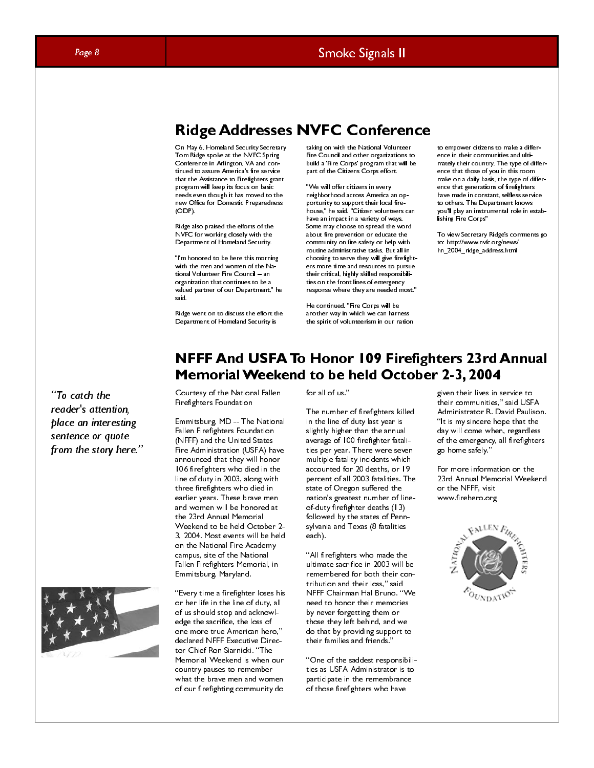# Page 8 Smoke Signals II

# Ridge Addresses NVFC Conference

On May 6, Homeland Security Secretary Tom Ridge spoke at the NVFC Spring Conference in Arlington, VA and continued to assure America's fire service that the Assistance to Firefighters grant program will keep its focus on basic needs even though it has moved to the new Office for Domestic Preparedness (ODP).

Ridge also praised the efforts of the NVFC for working closely with the Department of Homeland Security.

"I'm honored to be here this morning with the men and women of the National Volunteer Fire Council -- an organization that continues to be a valued partner of our Department," he said.

Ridge went on to discuss the effort the Department of Homeland Security is

taking on with the National Volunteer Fire Council and other organizations to build a 'Fire Corps' program that will be part of the Citizens Corps effort.

"We will offer citizens in every neighborhood across America an opportunity to support their local firehouse," he said. "Citizen volunteers can have an impact in a variety of ways. Some may choose to spread the word about fire prevention or educate the community on fire safety or help with routine administrative tasks. But all in choosing to serve they will give firefighters more time and resources to pursue their critical, highly skilled responsibilities on the front lines of emergency response where they are needed most."

He continued, "Fire Corps will be another way in which we can harness the spirit of volunteerism in our nation to empower citizens to make a difference in their communities and ultimately their country. The type of difference that those of you in this room make on a daily basis, the type of difference that generations of firefighters have made in constant, selfless service to others. The Department knows you'll play an instrumental role in establishing Fire Corps"

To view Secretary Ridge's comments go to: http://www.nvfc.org/news/ hn\_2004\_ridge\_address.html

# NFFF And USFA To Honor 109 Firefighters 23rd Annual Memorial Weekend to be held October 2-3, 2004

Courtesy of the National Fallen Firefighters Foundation

Emmitsburg, MD -- The National Fallen Firefighters Foundation (NFFF) and the United States Fire Administration (USFA) have announced that they will honor 106 firefighters who died in the line of duty in 2003, along with three firefighters who died in earlier years. These brave men and women will be honored at the 23rd Annual Memorial Weekend to be held October 2- 3, 2004. Most events will be held on the National Fire Academy campus, site of the National Fallen Firefighters Memorial, in Emmitsburg, Maryland.

"Every time a firefighter loses his or her life in the line of duty, all of us should stop and acknowledge the sacrifice, the loss of one more true American hero," declared NFFF Executive Director Chief Ron Siarnicki. "The Memorial Weekend is when our country pauses to remember what the brave men and women of our firefighting community do

for all of us."

The number of firefighters killed in the line of duty last year is slightly higher than the annual average of 100 firefighter fatalities per year. There were seven multiple fatality incidents which accounted for 20 deaths, or 19 percent of all 2003 fatalities. The state of Oregon suffered the nation's greatest number of lineof-duty firefighter deaths (13) followed by the states of Pennsylvania and Texas (8 fatalities each).

"All firefighters who made the ultimate sacrifice in 2003 will be remembered for both their contribution and their loss," said NFFF Chairman Hal Bruno. "We need to honor their memories by never forgetting them or those they left behind, and we do that by providing support to their families and friends."

"One of the saddest responsibilities as USFA Administrator is to participate in the remembrance of those firefighters who have

given their lives in service to their communities," said USFA Administrator R. David Paulison. "It is my sincere hope that the day will come when, regardless of the emergency, all firefighters go home safely."

For more information on the 23rd Annual Memorial Weekend or the NFFF, visit www.firehero.org



"To catch the reader's attention, place an interesting sentence or quote from the story here."

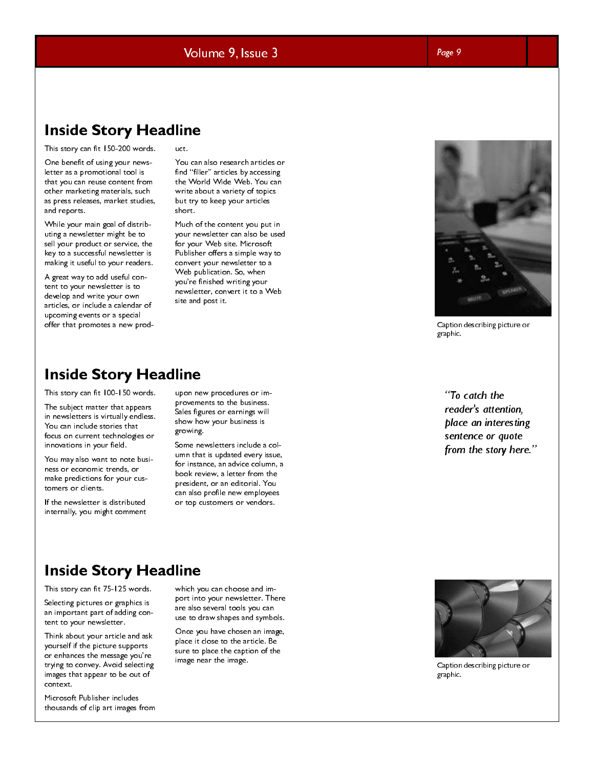This story can fit 150-200 words.

Inside Story Headline

One benefit of using your newsletter as a promotional tool is that you can reuse content from other marketing materials, such as press releases, market studies, and reports.

While your main goal of distributing a newsletter might be to sell your product or service, the key to a successful newsletter is making it useful to your readers.

A great way to add useful content to your newsletter is to develop and write your own articles, or include a calendar of upcoming events or a special offer that promotes a new product.

You can also research articles or find "filler" articles by accessing the World Wide Web. You can write about a variety of topics but try to keep your articles short.

Much of the content you put in your newsletter can also be used for your Web site. Microsoft Publisher offers a simple way to convert your newsletter to a Web publication. So, when you're finished writing your newsletter, convert it to a Web site and post it.

# Caption describing picture or graphic.

# Inside Story Headline

This story can fit 100-150 words.

The subject matter that appears in newsletters is virtually endless. You can include stories that focus on current technologies or innovations in your field.

You may also want to note business or economic trends, or make predictions for your customers or clients.

If the newsletter is distributed internally, you might comment

upon new procedures or improvements to the business. Sales figures or earnings will show how your business is growing.

Some newsletters include a column that is updated every issue, for instance, an advice column, a book review, a letter from the president, or an editorial. You can also profile new employees or top customers or vendors.

# Inside Story Headline

This story can fit 75-125 words.

Selecting pictures or graphics is an important part of adding content to your newsletter.

Think about your article and ask yourself if the picture supports or enhances the message you're trying to convey. Avoid selecting images that appear to be out of context.

Microsoft Publisher includes thousands of clip art images from

which you can choose and import into your newsletter. There are also several tools you can use to draw shapes and symbols.

Once you have chosen an image, place it close to the article. Be sure to place the caption of the<br>image near the image.

reader's attention, place an interesting sentence or quote from the story here."



Caption describing picture or graphic.

# Volume 9, Issue 3







"To catch the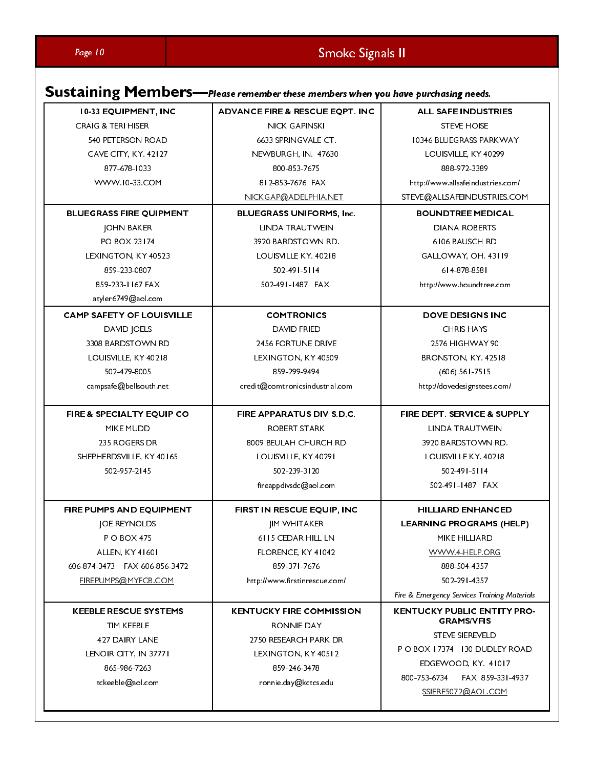| Page 10 |  |
|---------|--|
|---------|--|

# Page 10 Smoke Signals II

# Sustaining Members-Please remember these members when you have purchasing needs.

| 10-33 EQUIPMENT, INC                                                  | Sustaining Members-Please remember these members when you have purchasing needs.<br>ADVANCE FIRE & RESCUE EQPT. INC | ALL SAFE INDUSTRIES                                                               |
|-----------------------------------------------------------------------|---------------------------------------------------------------------------------------------------------------------|-----------------------------------------------------------------------------------|
| CRAIG & TERI HISER<br>540 PETERSON ROAD                               | <b>NICK GAPINSKI</b><br>6633 SPRINGVALE CT.                                                                         | <b>STEVE HOISE</b><br>10346 BLUEGRASS PARKWAY                                     |
| <b>CAVE CITY, KY. 42127</b><br>877-678-1033<br>WWW.10-33.COM          | NEWBURGH, IN. 47630<br>800-853-7675<br>8 2-853-7676 FAX                                                             | LOUISVILLE, KY 40299<br>888-972-3389<br>http://www.allsafeindustries.com/         |
| <b>BLUEGRASS FIRE QUIPMENT</b>                                        | NICKGAP@ADELPHIA.NET<br><b>BLUEGRASS UNIFORMS, Inc.</b>                                                             | STEVE@ALLSAFEINDUSTRIES.COM<br><b>BOUNDTREE MEDICAL</b>                           |
| <b>JOHN BAKER</b><br>PO BOX 23174<br>LEXINGTON, KY 40523              | LINDA TRAUTWEIN<br>3920 BARDSTOWN RD.<br>LOUISVILLE KY. 40218                                                       | <b>DIANA ROBERTS</b><br>6106 BAUSCH RD<br>GALLOWAY, OH. 43119                     |
| 859-233-0807<br>859-233-1167 FAX                                      | $502 - 491 - 5114$<br>502-491-1487 FAX                                                                              | 614-878-8581<br>http://www.boundtree.com                                          |
| atyler6749@aol.com<br><b>CAMP SAFETY OF LOUISVILLE</b><br>DAVID JOELS | <b>COMTRONICS</b><br>DAVID FRIED                                                                                    | DOVE DESIGNS INC<br><b>CHRIS HAYS</b>                                             |
| 3308 BARDSTOWN RD<br>LOUISVILLE, KY 40218                             | 2456 FORTUNE DRIVE<br>LEXINGTON, KY 40509                                                                           | 2576 HIGHWAY 90<br>BRONSTON, KY. 42518                                            |
| 502-479-8005<br>campsafe@bellsouth.net                                | 859-299-9494<br>credit@comtronicsindustrial.com                                                                     | $(606)$ 56   -75   5<br>http://dovedesignstees.com/                               |
| FIRE & SPECIALTY EQUIP CO<br>MIKE MUDD                                | FIRE APPARATUS DIV S.D.C.<br>ROBERT STARK                                                                           | FIRE DEPT. SERVICE & SUPPLY<br>LINDA TRAUTWEIN                                    |
| 235 ROGERS DR<br>SHEPHERDSVILLE, KY 40165                             | 8009 BEULAH CHURCH RD<br>LOUISVILLE, KY 40291                                                                       | 3920 BARDSTOWN RD.<br>LOUISVILLE KY. 40218                                        |
| 502-957-2145                                                          | 502-239-3120<br>fireappdivsdc@aol.com                                                                               | $502-49$ $-5$ $\mid$ $ 4$<br>502-491-1487 FAX                                     |
| FIRE PUMPS AND EQUIPMENT<br><b>JOE REYNOLDS</b>                       | FIRST IN RESCUE EQUIP, INC<br>JIM WHITAKER                                                                          | <b>HILLIARD ENHANCED</b><br><b>LEARNING PROGRAMS (HELP)</b>                       |
| P O BOX 475<br>ALLEN, KY 41601<br>606-874-3473    FAX 606-856-3472    | 6115 CEDAR HILL LN<br>FLORENCE, KY 41042<br>859-371-7676                                                            | MIKE HILLIARD<br>WWW.4-HELP.ORG<br>888-504-4357                                   |
| FIREPUMPS@MYFCB.COM                                                   | http://www.firstinrescue.com/                                                                                       | 502-291-4357<br>Fire & Emergency Services Training Materials                      |
| <b>KEEBLE RESCUE SYSTEMS</b><br>TIM KEEBLE<br>427 DAIRY LANE          | <b>KENTUCKY FIRE COMMISSION</b><br>RONNIE DAY<br>2750 RESEARCH PARK DR                                              | <b>KENTUCKY PUBLIC ENTITY PRO-</b><br><b>GRAMS/VFIS</b><br><b>STEVE SIEREVELD</b> |
| LENOIR CITY, IN 37771<br>865-986-7263                                 | LEXINGTON, KY 40512<br>859-246-3478                                                                                 | PO BOX 17374 130 DUDLEY ROAD<br>EDGEWOOD, KY. 41017                               |
| tckeeble@aol.com                                                      | ronnie.day@kctcs.edu                                                                                                | 800-753-6734<br>FAX 859-331-4937<br>SSIERE5072@AOL.COM                            |
|                                                                       |                                                                                                                     |                                                                                   |
|                                                                       |                                                                                                                     |                                                                                   |
|                                                                       |                                                                                                                     |                                                                                   |
|                                                                       |                                                                                                                     |                                                                                   |
|                                                                       |                                                                                                                     |                                                                                   |
|                                                                       |                                                                                                                     |                                                                                   |
|                                                                       |                                                                                                                     |                                                                                   |
|                                                                       |                                                                                                                     |                                                                                   |
|                                                                       |                                                                                                                     |                                                                                   |
|                                                                       |                                                                                                                     |                                                                                   |
|                                                                       |                                                                                                                     |                                                                                   |
|                                                                       |                                                                                                                     |                                                                                   |
|                                                                       |                                                                                                                     |                                                                                   |
|                                                                       |                                                                                                                     |                                                                                   |
|                                                                       |                                                                                                                     |                                                                                   |
|                                                                       |                                                                                                                     |                                                                                   |
|                                                                       |                                                                                                                     |                                                                                   |
|                                                                       |                                                                                                                     |                                                                                   |
|                                                                       |                                                                                                                     |                                                                                   |
|                                                                       |                                                                                                                     |                                                                                   |
|                                                                       |                                                                                                                     |                                                                                   |
|                                                                       |                                                                                                                     |                                                                                   |
|                                                                       |                                                                                                                     |                                                                                   |
|                                                                       |                                                                                                                     |                                                                                   |
|                                                                       |                                                                                                                     |                                                                                   |
|                                                                       |                                                                                                                     |                                                                                   |
|                                                                       |                                                                                                                     |                                                                                   |
|                                                                       |                                                                                                                     |                                                                                   |
|                                                                       |                                                                                                                     |                                                                                   |
|                                                                       |                                                                                                                     |                                                                                   |
|                                                                       |                                                                                                                     |                                                                                   |
|                                                                       |                                                                                                                     |                                                                                   |
|                                                                       |                                                                                                                     |                                                                                   |
|                                                                       |                                                                                                                     |                                                                                   |
|                                                                       |                                                                                                                     |                                                                                   |
|                                                                       |                                                                                                                     |                                                                                   |
|                                                                       |                                                                                                                     |                                                                                   |
|                                                                       |                                                                                                                     |                                                                                   |
|                                                                       |                                                                                                                     |                                                                                   |
|                                                                       |                                                                                                                     |                                                                                   |
|                                                                       |                                                                                                                     |                                                                                   |
|                                                                       |                                                                                                                     |                                                                                   |
|                                                                       |                                                                                                                     |                                                                                   |
|                                                                       |                                                                                                                     |                                                                                   |
|                                                                       |                                                                                                                     |                                                                                   |
|                                                                       |                                                                                                                     |                                                                                   |
|                                                                       |                                                                                                                     |                                                                                   |
|                                                                       |                                                                                                                     |                                                                                   |
|                                                                       |                                                                                                                     |                                                                                   |
|                                                                       |                                                                                                                     |                                                                                   |
|                                                                       |                                                                                                                     |                                                                                   |
|                                                                       |                                                                                                                     |                                                                                   |
|                                                                       |                                                                                                                     |                                                                                   |
|                                                                       |                                                                                                                     |                                                                                   |
|                                                                       |                                                                                                                     |                                                                                   |
|                                                                       |                                                                                                                     |                                                                                   |
|                                                                       |                                                                                                                     |                                                                                   |
|                                                                       |                                                                                                                     |                                                                                   |
|                                                                       |                                                                                                                     |                                                                                   |
|                                                                       |                                                                                                                     |                                                                                   |
|                                                                       |                                                                                                                     |                                                                                   |
|                                                                       |                                                                                                                     |                                                                                   |
|                                                                       |                                                                                                                     |                                                                                   |
|                                                                       |                                                                                                                     |                                                                                   |
|                                                                       |                                                                                                                     |                                                                                   |
|                                                                       |                                                                                                                     |                                                                                   |
|                                                                       |                                                                                                                     |                                                                                   |
|                                                                       |                                                                                                                     |                                                                                   |
|                                                                       |                                                                                                                     |                                                                                   |
|                                                                       |                                                                                                                     |                                                                                   |
|                                                                       |                                                                                                                     |                                                                                   |
|                                                                       |                                                                                                                     |                                                                                   |
|                                                                       |                                                                                                                     |                                                                                   |
|                                                                       |                                                                                                                     |                                                                                   |
|                                                                       |                                                                                                                     |                                                                                   |
|                                                                       |                                                                                                                     |                                                                                   |
|                                                                       |                                                                                                                     |                                                                                   |
|                                                                       |                                                                                                                     |                                                                                   |
|                                                                       |                                                                                                                     |                                                                                   |
|                                                                       |                                                                                                                     |                                                                                   |
|                                                                       |                                                                                                                     |                                                                                   |
|                                                                       |                                                                                                                     |                                                                                   |
|                                                                       |                                                                                                                     |                                                                                   |
|                                                                       |                                                                                                                     |                                                                                   |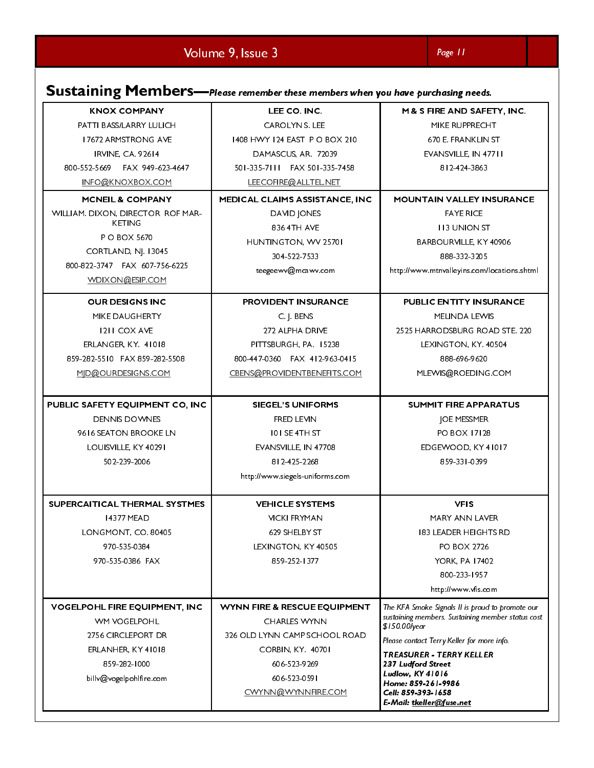# Volume 9, Issue 3 Page 11

| Sustaining Members-Please remember these members when you have purchasing needs.                                                                                                  |                                                                                                                                                                                     |                                                                                                                                                                                                                                                                                                                            |
|-----------------------------------------------------------------------------------------------------------------------------------------------------------------------------------|-------------------------------------------------------------------------------------------------------------------------------------------------------------------------------------|----------------------------------------------------------------------------------------------------------------------------------------------------------------------------------------------------------------------------------------------------------------------------------------------------------------------------|
| <b>KNOX COMPANY</b><br>PATTI BASS/LARRY LULICH<br>17672 ARMSTRONG AVE<br>IRVINE, CA. 92614<br>800-552-5669    FAX 949-623-4647<br>INFO@KNOXBOX.COM<br><b>MCNEIL &amp; COMPANY</b> | LEE CO. INC.<br>CAROLYN S. LEE<br>1408 HWY 124 EAST PO BOX 210<br>DAMASCUS, AR. 72039<br>501-335-7111    FAX 501-335-7458<br>LEECOFIRE@ALLTEL.NET<br>MEDICAL CLAIMS ASSISTANCE, INC | M & S FIRE AND SAFETY, INC.<br>MIKE RUPPRECHT<br>670 E. FRANKLIN ST<br>EVANSVILLE, IN 47711<br>8 2 4 2 4 3 8 6 3<br><b>MOUNTAIN VALLEY INSURANCE</b>                                                                                                                                                                       |
| WILLIAM. DIXON, DIRECTOR ROF MAR-<br><b>KETING</b><br>P O BOX 5670<br>CORTLAND, NJ. 13045<br>800-822-3747    FAX 607-756-6225<br>WDIXON@ESIP.COM                                  | DAVID JONES<br>836 4TH AVE<br>HUNTINGTON, WV 25701<br>304-522-7533<br>teegeewv@mcawv.com                                                                                            | <b>FAYE RICE</b><br><b>II3 UNION ST</b><br>BARBOURVILLE, KY 40906<br>888-332-3205<br>http://www.mtnvalleyins.com/locations.shtml                                                                                                                                                                                           |
| <b>OUR DESIGNS INC</b><br>MIKE DAUGHERTY<br><b>1211 COX AVE</b><br>ERLANGER, KY. 41018<br>859-282-5510 FAX 859-282-5508<br>MID@OURDESIGNS.COM                                     | PROVIDENT INSURANCE<br>C. J. BENS<br>272 ALPHA DRIVE<br>PITTSBURGH, PA. 15238<br>800-447-0360 FAX 412-963-0415<br>CBENS@PROVIDENTBENEFITS.COM                                       | PUBLIC ENTITY INSURANCE<br>MELINDA LEWIS<br>2525 HARRO DSBURG ROAD STE. 220<br>LEXINGTON, KY. 40504<br>888-696-9620<br>MLEWIS@ROEDING.COM                                                                                                                                                                                  |
| PUBLIC SAFETY EQUIPMENT CO, INC<br>DENNIS DOWNES<br>9616 SEATON BROOKE LN<br>LOUISVILLE, KY 40291<br>502-239-2006                                                                 | SIEGEL'S UNIFORMS<br>FRED LEVIN<br><b>101 SE 4TH ST</b><br>EVANSVILLE, IN 47708<br>8 2-425-2268                                                                                     | SUMMIT FIRE APPARATUS<br>JOE MESSMER<br>PO BOX 17128<br>EDGEWOOD, KY 41017<br>859-331-0399                                                                                                                                                                                                                                 |
| SUPERCAITICAL THERMAL SYSTMES<br>14377 MEAD<br>LONGMONT, CO. 80405<br>970-535-0384<br>970-535-0386 FAX                                                                            | http://www.siegels-uniforms.com<br><b>VEHICLE SYSTEMS</b><br><b>VICKI FRYMAN</b><br>629 SHELBY ST<br>LEXINGTON, KY 40505<br>859-252-1377                                            | <b>VFIS</b><br>MARY ANN LAVER<br><b>183 LEADER HEIGHTS RD</b><br>PO BOX 2726<br>YORK, PA 17402<br>800-233-1957<br>http://www.vfis.com                                                                                                                                                                                      |
| VOGELPOHL FIRE EQUIPMENT, INC<br>WM VOGELPOHL<br>2756 CIRCLEPORT DR<br>ERLANHER, KY 41018<br>859-282-1000<br>billv@vogelpohlfire.com                                              | WYNN FIRE & RESCUE EQUIPMENT<br><b>CHARLES WYNN</b><br>326 OLD LYNN CAMP SCHOOL ROAD<br>CORBIN, KY. 40701<br>606-523-9269<br>606-523-0591<br>CWYNN@WYNNFIRE.COM                     | The KFA Smoke Signals II is proud to promote our<br>sustaining members Sustaining member status cost<br>$$150.00$ /year<br>Please contact Terry Keller for more info.<br><b>TREASURER - TERRY KELLER</b><br>237 Ludford Street<br>Ludlow, KY 41016<br>Home: 859-261-9986<br>Cell: 859-393-1658<br>E-Mail: tkeller@fuse.net |
|                                                                                                                                                                                   |                                                                                                                                                                                     |                                                                                                                                                                                                                                                                                                                            |
|                                                                                                                                                                                   |                                                                                                                                                                                     |                                                                                                                                                                                                                                                                                                                            |
|                                                                                                                                                                                   |                                                                                                                                                                                     |                                                                                                                                                                                                                                                                                                                            |
|                                                                                                                                                                                   |                                                                                                                                                                                     |                                                                                                                                                                                                                                                                                                                            |
|                                                                                                                                                                                   |                                                                                                                                                                                     |                                                                                                                                                                                                                                                                                                                            |
|                                                                                                                                                                                   |                                                                                                                                                                                     |                                                                                                                                                                                                                                                                                                                            |
|                                                                                                                                                                                   |                                                                                                                                                                                     |                                                                                                                                                                                                                                                                                                                            |
|                                                                                                                                                                                   |                                                                                                                                                                                     |                                                                                                                                                                                                                                                                                                                            |
|                                                                                                                                                                                   |                                                                                                                                                                                     |                                                                                                                                                                                                                                                                                                                            |
|                                                                                                                                                                                   |                                                                                                                                                                                     |                                                                                                                                                                                                                                                                                                                            |
|                                                                                                                                                                                   |                                                                                                                                                                                     |                                                                                                                                                                                                                                                                                                                            |
|                                                                                                                                                                                   |                                                                                                                                                                                     |                                                                                                                                                                                                                                                                                                                            |
|                                                                                                                                                                                   |                                                                                                                                                                                     |                                                                                                                                                                                                                                                                                                                            |
|                                                                                                                                                                                   |                                                                                                                                                                                     |                                                                                                                                                                                                                                                                                                                            |
|                                                                                                                                                                                   |                                                                                                                                                                                     |                                                                                                                                                                                                                                                                                                                            |
|                                                                                                                                                                                   |                                                                                                                                                                                     |                                                                                                                                                                                                                                                                                                                            |
|                                                                                                                                                                                   |                                                                                                                                                                                     |                                                                                                                                                                                                                                                                                                                            |
|                                                                                                                                                                                   |                                                                                                                                                                                     |                                                                                                                                                                                                                                                                                                                            |
|                                                                                                                                                                                   |                                                                                                                                                                                     |                                                                                                                                                                                                                                                                                                                            |
|                                                                                                                                                                                   |                                                                                                                                                                                     |                                                                                                                                                                                                                                                                                                                            |
|                                                                                                                                                                                   |                                                                                                                                                                                     |                                                                                                                                                                                                                                                                                                                            |
|                                                                                                                                                                                   |                                                                                                                                                                                     |                                                                                                                                                                                                                                                                                                                            |
|                                                                                                                                                                                   |                                                                                                                                                                                     |                                                                                                                                                                                                                                                                                                                            |
|                                                                                                                                                                                   |                                                                                                                                                                                     |                                                                                                                                                                                                                                                                                                                            |
|                                                                                                                                                                                   |                                                                                                                                                                                     |                                                                                                                                                                                                                                                                                                                            |
|                                                                                                                                                                                   |                                                                                                                                                                                     |                                                                                                                                                                                                                                                                                                                            |
|                                                                                                                                                                                   |                                                                                                                                                                                     |                                                                                                                                                                                                                                                                                                                            |
|                                                                                                                                                                                   |                                                                                                                                                                                     |                                                                                                                                                                                                                                                                                                                            |
|                                                                                                                                                                                   |                                                                                                                                                                                     |                                                                                                                                                                                                                                                                                                                            |
|                                                                                                                                                                                   |                                                                                                                                                                                     |                                                                                                                                                                                                                                                                                                                            |
|                                                                                                                                                                                   |                                                                                                                                                                                     |                                                                                                                                                                                                                                                                                                                            |
|                                                                                                                                                                                   |                                                                                                                                                                                     |                                                                                                                                                                                                                                                                                                                            |